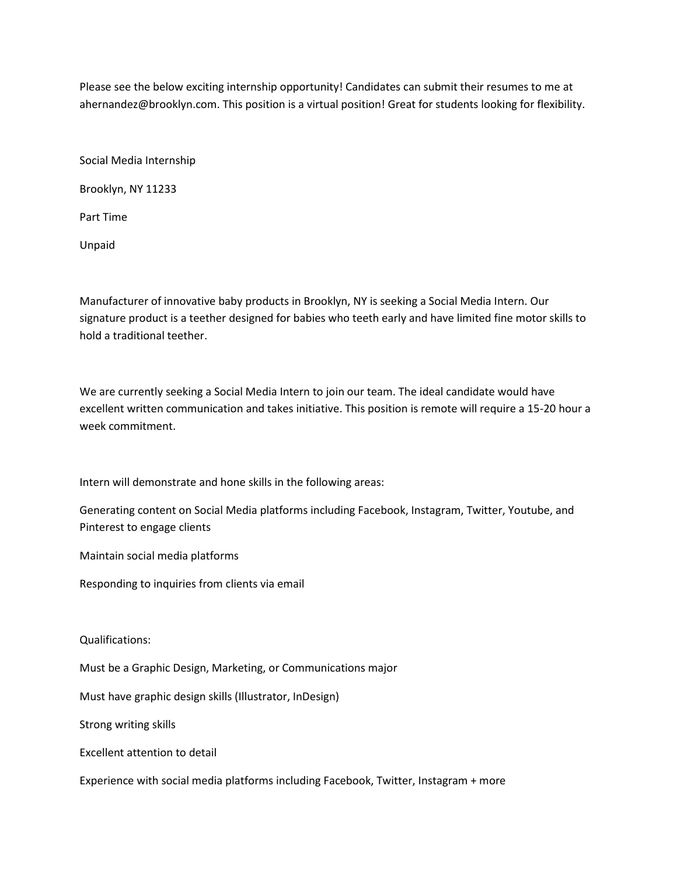Please see the below exciting internship opportunity! Candidates can submit their resumes to me at ahernandez@brooklyn.com. This position is a virtual position! Great for students looking for flexibility.

Social Media Internship

Brooklyn, NY 11233

Part Time

Unpaid

Manufacturer of innovative baby products in Brooklyn, NY is seeking a Social Media Intern. Our signature product is a teether designed for babies who teeth early and have limited fine motor skills to hold a traditional teether.

We are currently seeking a Social Media Intern to join our team. The ideal candidate would have excellent written communication and takes initiative. This position is remote will require a 15-20 hour a week commitment.

Intern will demonstrate and hone skills in the following areas:

Generating content on Social Media platforms including Facebook, Instagram, Twitter, Youtube, and Pinterest to engage clients

Maintain social media platforms

Responding to inquiries from clients via email

Qualifications:

Must be a Graphic Design, Marketing, or Communications major

Must have graphic design skills (Illustrator, InDesign)

Strong writing skills

Excellent attention to detail

Experience with social media platforms including Facebook, Twitter, Instagram + more